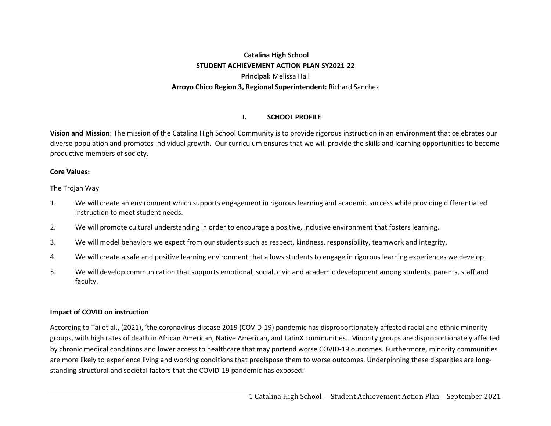# **Catalina High School STUDENT ACHIEVEMENT ACTION PLAN SY2021‐22 Principal:** Melissa Hall **Arroyo Chico Region 3, Regional Superintendent:** Richard Sanchez

#### **I.SCHOOL PROFILE**

**Vision and Mission**: The mission of the Catalina High School Community is to provide rigorous instruction in an environment that celebrates our diverse population and promotes individual growth. Our curriculum ensures that we will provide the skills and learning opportunities to become productive members of society.

#### **Core Values:**

The Trojan Way

- 1. We will create an environment which supports engagement in rigorous learning and academic success while providing differentiated instruction to meet student needs.
- 2. We will promote cultural understanding in order to encourage a positive, inclusive environment that fosters learning.
- 3. We will model behaviors we expect from our students such as respect, kindness, responsibility, teamwork and integrity.
- 4. We will create a safe and positive learning environment that allows students to engage in rigorous learning experiences we develop.
- 5. We will develop communication that supports emotional, social, civic and academic development among students, parents, staff and faculty.

#### **Impact of COVID on instruction**

According to Tai et al., (2021), 'the coronavirus disease 2019 (COVID‐19) pandemic has disproportionately affected racial and ethnic minority groups, with high rates of death in African American, Native American, and LatinX communities…Minority groups are disproportionately affected by chronic medical conditions and lower access to healthcare that may portend worse COVID‐19 outcomes. Furthermore, minority communities are more likely to experience living and working conditions that predispose them to worse outcomes. Underpinning these disparities are longstanding structural and societal factors that the COVID‐19 pandemic has exposed.'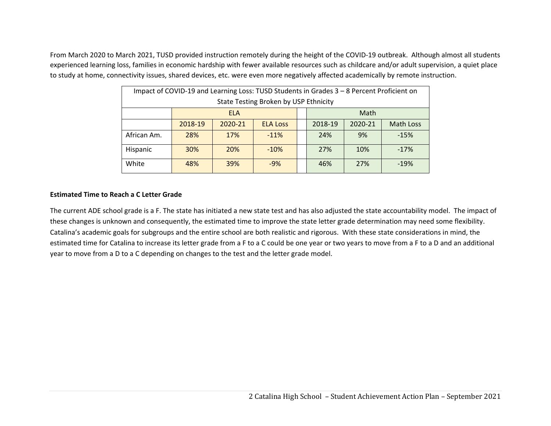From March 2020 to March 2021, TUSD provided instruction remotely during the height of the COVID‐19 outbreak. Although almost all students experienced learning loss, families in economic hardship with fewer available resources such as childcare and/or adult supervision, a quiet place to study at home, connectivity issues, shared devices, etc. were even more negatively affected academically by remote instruction.

| Impact of COVID-19 and Learning Loss: TUSD Students in Grades 3 - 8 Percent Proficient on |                                                                          |            |                                       |  |  |      |  |
|-------------------------------------------------------------------------------------------|--------------------------------------------------------------------------|------------|---------------------------------------|--|--|------|--|
|                                                                                           |                                                                          |            | State Testing Broken by USP Ethnicity |  |  |      |  |
|                                                                                           |                                                                          | <b>ELA</b> |                                       |  |  | Math |  |
|                                                                                           | 2018-19<br>2020-21<br>2018-19<br>2020-21<br>Math Loss<br><b>ELA Loss</b> |            |                                       |  |  |      |  |
| African Am.                                                                               | $-15%$<br>28%<br>17%<br>9%<br>$-11%$<br>24%                              |            |                                       |  |  |      |  |
| Hispanic                                                                                  | 20%<br>30%<br>27%<br>10%<br>$-10%$<br>$-17%$                             |            |                                       |  |  |      |  |
| White                                                                                     | 39%<br>27%<br>48%<br>$-9%$<br>46%<br>$-19%$                              |            |                                       |  |  |      |  |

#### **Estimated Time to Reach a C Letter Grade**

The current ADE school grade is a F. The state has initiated a new state test and has also adjusted the state accountability model. The impact of these changes is unknown and consequently, the estimated time to improve the state letter grade determination may need some flexibility. Catalina's academic goals for subgroups and the entire school are both realistic and rigorous. With these state considerations in mind, the estimated time for Catalina to increase its letter grade from a F to a C could be one year or two years to move from a F to a D and an additional year to move from a D to a C depending on changes to the test and the letter grade model.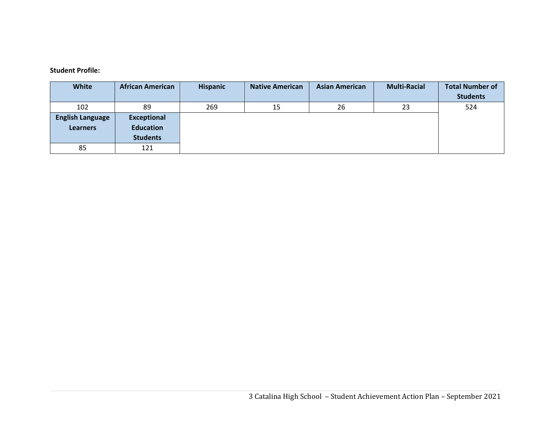#### **Student Profile:**

| <b>White</b>            | <b>African American</b> | <b>Hispanic</b> | <b>Native American</b> | <b>Asian American</b> | <b>Multi-Racial</b> | <b>Total Number of</b> |
|-------------------------|-------------------------|-----------------|------------------------|-----------------------|---------------------|------------------------|
|                         |                         |                 |                        |                       |                     | <b>Students</b>        |
| 102                     | 89                      | 269             | 15                     | 26                    | 23                  | 524                    |
| <b>English Language</b> | <b>Exceptional</b>      |                 |                        |                       |                     |                        |
| <b>Learners</b>         | <b>Education</b>        |                 |                        |                       |                     |                        |
|                         | <b>Students</b>         |                 |                        |                       |                     |                        |
| 85                      | 121                     |                 |                        |                       |                     |                        |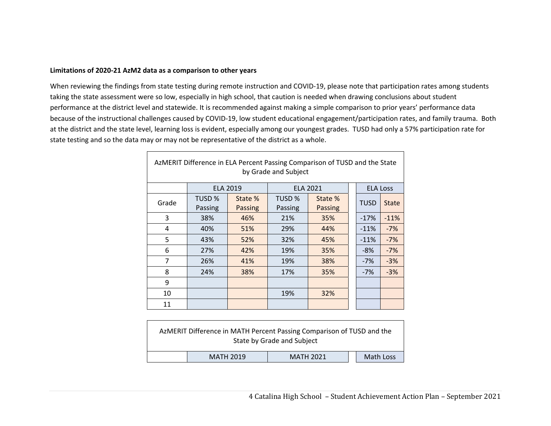#### **Limitations of 2020‐21 AzM2 data as a comparison to other years**

When reviewing the findings from state testing during remote instruction and COVID‐19, please note that participation rates among students taking the state assessment were so low, especially in high school, that caution is needed when drawing conclusions about student performance at the district level and statewide. It is recommended against making a simple comparison to prior years' performance data because of the instructional challenges caused by COVID‐19, low student educational engagement/participation rates, and family trauma. Both at the district and the state level, learning loss is evident, especially among our youngest grades. TUSD had only a 57% participation rate for state testing and so the data may or may not be representative of the district as a whole.

| AzMERIT Difference in ELA Percent Passing Comparison of TUSD and the State<br>by Grade and Subject |                   |                           |                   |                    |  |                 |              |
|----------------------------------------------------------------------------------------------------|-------------------|---------------------------|-------------------|--------------------|--|-----------------|--------------|
|                                                                                                    | <b>ELA 2019</b>   |                           |                   | <b>ELA 2021</b>    |  | <b>ELA Loss</b> |              |
| Grade                                                                                              | TUSD %<br>Passing | State %<br><b>Passing</b> | TUSD %<br>Passing | State %<br>Passing |  | <b>TUSD</b>     | <b>State</b> |
| 3                                                                                                  | 38%               | 46%                       | 21%               | 35%                |  | $-17%$          | $-11%$       |
| 4                                                                                                  | 40%               | 51%                       | 29%               | 44%                |  | $-11%$          | $-7%$        |
| 5                                                                                                  | 43%               | 52%                       | 32%               | 45%                |  | $-11%$          | $-7%$        |
| 6                                                                                                  | 27%               | 42%                       | 19%               | 35%                |  | $-8%$           | $-7%$        |
| 7                                                                                                  | 26%               | 41%                       | 19%               | 38%                |  | $-7%$           | $-3%$        |
| 8                                                                                                  | 24%               | 38%                       | 17%               | 35%                |  | $-7%$           | $-3%$        |
| 9                                                                                                  |                   |                           |                   |                    |  |                 |              |
| 10                                                                                                 |                   |                           | 19%               | 32%                |  |                 |              |
| 11                                                                                                 |                   |                           |                   |                    |  |                 |              |

|                                                   | AzMERIT Difference in MATH Percent Passing Comparison of TUSD and the | State by Grade and Subject |  |  |  |  |
|---------------------------------------------------|-----------------------------------------------------------------------|----------------------------|--|--|--|--|
| Math Loss<br><b>MATH 2019</b><br><b>MATH 2021</b> |                                                                       |                            |  |  |  |  |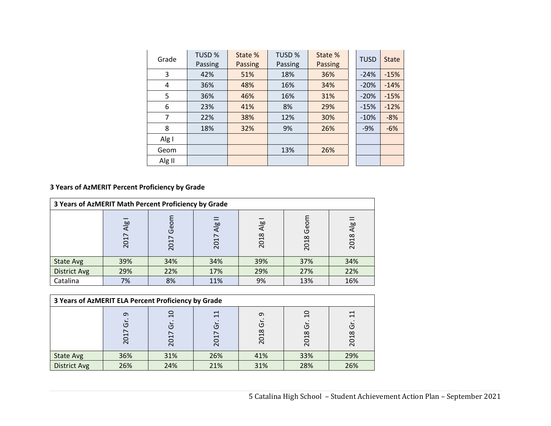| Grade  | TUSD %<br>Passing | State %<br><b>Passing</b> | TUSD %<br>Passing | State %<br>Passing | <b>TUSD</b> | <b>State</b> |
|--------|-------------------|---------------------------|-------------------|--------------------|-------------|--------------|
| 3      | 42%               | 51%                       | 18%               | 36%                | $-24%$      | $-15%$       |
| 4      | 36%               | 48%                       | 16%               | 34%                | $-20%$      | $-14%$       |
| 5      | 36%               | 46%                       | 16%               | 31%                | $-20%$      | $-15%$       |
| 6      | 23%               | 41%                       | 8%                | 29%                | $-15%$      | $-12%$       |
| 7      | 22%               | 38%                       | 12%               | 30%                | $-10%$      | $-8%$        |
| 8      | 18%               | 32%                       | 9%                | 26%                | $-9%$       | $-6%$        |
| Alg I  |                   |                           |                   |                    |             |              |
| Geom   |                   |                           | 13%               | 26%                |             |              |
| Alg II |                   |                           |                   |                    |             |              |

# **3 Years of AzMERIT Percent Proficiency by Grade**

| 3 Years of AzMERIT Math Percent Proficiency by Grade |             |              |                        |                         |              |                       |  |
|------------------------------------------------------|-------------|--------------|------------------------|-------------------------|--------------|-----------------------|--|
|                                                      | Alg<br>2017 | Geom<br>2017 | $\overline{A}$<br>2017 | $\overline{AB}$<br>2018 | Geom<br>2018 | $\frac{1}{4}$<br>2018 |  |
| <b>State Avg</b>                                     | 39%         | 34%          | 34%                    | 39%                     | 37%          | 34%                   |  |
| <b>District Avg</b>                                  | 29%         | 22%          | 17%                    | 29%                     | 27%          | 22%                   |  |
| Catalina                                             | 7%          | 8%           | 11%                    | 9%                      | 13%          | 16%                   |  |

| 3 Years of AzMERIT ELA Percent Proficiency by Grade |                      |               |                    |                |                              |                |
|-----------------------------------------------------|----------------------|---------------|--------------------|----------------|------------------------------|----------------|
|                                                     | $\sigma$<br>ក<br>201 | g<br>Ğ<br>201 | $\Xi$<br>Ğ<br>2017 | ᡡ<br>Ğ<br>2018 | ٩P<br>$\overline{5}$<br>2018 | 님<br>Ġ<br>2018 |
| <b>State Avg</b>                                    | 36%                  | 31%           | 26%                | 41%            | 33%                          | 29%            |
| District Avg                                        | 26%                  | 24%           | 21%                | 31%            | 28%                          | 26%            |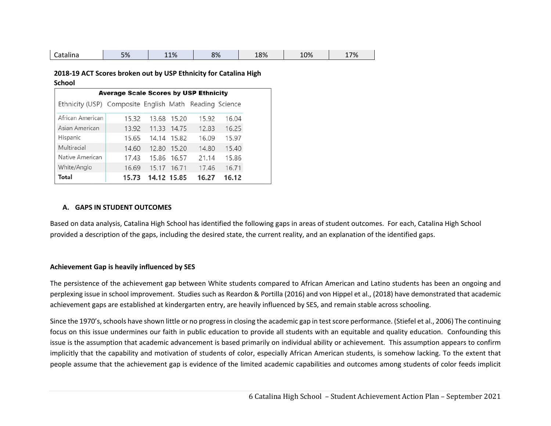|  | ∽<br>Catalina | E0/<br>7٥ | 11% | 8% | 18% | 10% | 17% |
|--|---------------|-----------|-----|----|-----|-----|-----|
|--|---------------|-----------|-----|----|-----|-----|-----|

#### **2018‐19 ACT Scores broken out by USP Ethnicity for Catalina High School**

| <b>Average Scale Scores by USP Ethnicity</b>           |       |       |             |       |       |  |  |
|--------------------------------------------------------|-------|-------|-------------|-------|-------|--|--|
| Ethnicity (USP) Composite English Math Reading Science |       |       |             |       |       |  |  |
| African American                                       | 15.32 |       | 13.68 15.20 | 15.92 | 16.04 |  |  |
| Asian American                                         | 13.92 |       | 11.33 14.75 | 12.83 | 16.25 |  |  |
| Hispanic                                               | 15.65 |       | 14.14 15.82 | 16.09 | 15.97 |  |  |
| Multiracial                                            | 14.60 | 12.80 | 15.20       | 14.80 | 15.40 |  |  |
| Native American                                        | 17.43 |       | 15.86 16.57 | 21.14 | 15.86 |  |  |
| White/Anglo                                            | 16.69 | 15.17 | 16.71       | 17.46 | 16.71 |  |  |
| Total                                                  | 15.73 |       | 14.12 15.85 | 16.27 | 16.12 |  |  |

#### **A. GAPS IN STUDENT OUTCOMES**

Based on data analysis, Catalina High School has identified the following gaps in areas of student outcomes. For each, Catalina High School provided a description of the gaps, including the desired state, the current reality, and an explanation of the identified gaps.

#### **Achievement Gap is heavily influenced by SES**

The persistence of the achievement gap between White students compared to African American and Latino students has been an ongoing and perplexing issue in school improvement. Studies such as Reardon & Portilla (2016) and von Hippel et al., (2018) have demonstrated that academic achievement gaps are established at kindergarten entry, are heavily influenced by SES, and remain stable across schooling.

Since the 1970's, schools have shown little or no progress in closing the academic gap in test score performance. (Stiefel et al., 2006) The continuing focus on this issue undermines our faith in public education to provide all students with an equitable and quality education. Confounding this issue is the assumption that academic advancement is based primarily on individual ability or achievement. This assumption appears to confirm implicitly that the capability and motivation of students of color, especially African American students, is somehow lacking. To the extent that people assume that the achievement gap is evidence of the limited academic capabilities and outcomes among students of color feeds implicit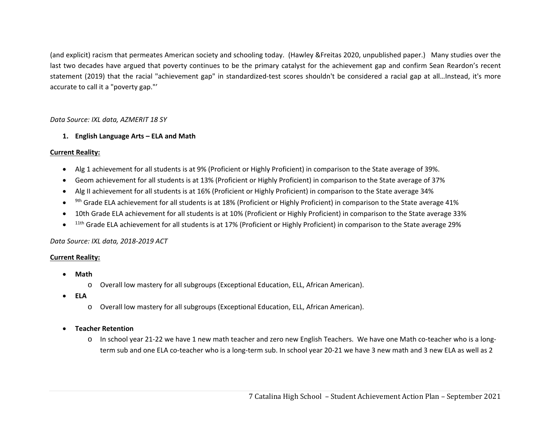(and explicit) racism that permeates American society and schooling today. (Hawley &Freitas 2020, unpublished paper.) Many studies over the last two decades have argued that poverty continues to be the primary catalyst for the achievement gap and confirm Sean Reardon's recent statement (2019) that the racial "achievement gap" in standardized-test scores shouldn't be considered a racial gap at all...Instead, it's more accurate to call it a "poverty gap."'

#### *Data Source: IXL data, AZMERIT 18 SY*

#### **1. English Language Arts – ELA and Math**

#### **Current Reality:**

- $\bullet$ Alg 1 achievement for all students is at 9% (Proficient or Highly Proficient) in comparison to the State average of 39%.
- $\bullet$ Geom achievement for all students is at 13% (Proficient or Highly Proficient) in comparison to the State average of 37%
- $\bullet$ Alg II achievement for all students is at 16% (Proficient or Highly Proficient) in comparison to the State average 34%
- $\bullet$ <sup>9th</sup> Grade ELA achievement for all students is at 18% (Proficient or Highly Proficient) in comparison to the State average 41%
- $\bullet$ 10th Grade ELA achievement for all students is at 10% (Proficient or Highly Proficient) in comparison to the State average 33%
- $\bullet$ 11th Grade ELA achievement for all students is at 17% (Proficient or Highly Proficient) in comparison to the State average 29%

#### *Data Source: IXL data, 2018‐2019 ACT*

#### **Current Reality:**

- 6 **Math**
	- oOverall low mastery for all subgroups (Exceptional Education, ELL, African American).
- **ELA**
	- oOverall low mastery for all subgroups (Exceptional Education, ELL, African American).
- $\bullet$  **Teacher Retention**
	- In school year 21-22 we have 1 new math teacher and zero new English Teachers. We have one Math co-teacher who is a longterm sub and one ELA co-teacher who is a long-term sub. In school year 20-21 we have 3 new math and 3 new ELA as well as 2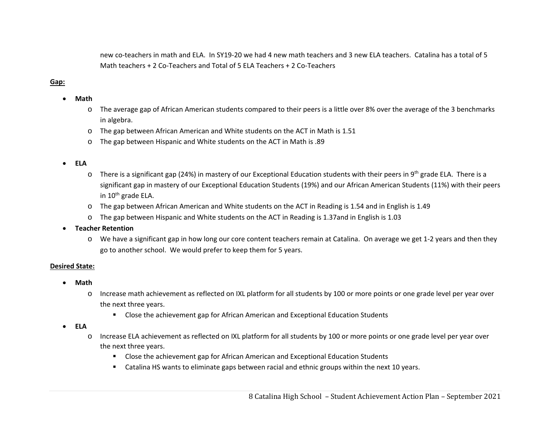new co-teachers in math and ELA. In SY19-20 we had 4 new math teachers and 3 new ELA teachers. Catalina has a total of 5 Math teachers + 2 Co-Teachers and Total of 5 ELA Teachers + 2 Co-Teachers

# Gap:

- $\bullet$  **Math**
	- o The average gap of African American students compared to their peers is a little over 8% over the average of the 3 benchmarks in algebra.
	- o The gap between African American and White students on the ACT in Math is 1.51
	- o The gap between Hispanic and White students on the ACT in Math is .89

#### $\bullet$ **ELA**

- oThere is a significant gap (24%) in mastery of our Exceptional Education students with their peers in 9<sup>th</sup> grade ELA. There is a significant gap in mastery of our Exceptional Education Students (19%) and our African American Students (11%) with their peers in 10<sup>th</sup> grade ELA.
- o The gap between African American and White students on the ACT in Reading is 1.54 and in English is 1.49
- o The gap between Hispanic and White students on the ACT in Reading is 1.37and in English is 1.03
- e **Teacher Retention**
	- o We have a significant gap in how long our core content teachers remain at Catalina. On average we get 1‐2 years and then they go to another school. We would prefer to keep them for 5 years.

#### **Desired State:**

- $\bullet$  **Math** 
	- o Increase math achievement as reflected on IXL platform for all students by 100 or more points or one grade level per year over the next three years.
		- Close the achievement gap for African American and Exceptional Education Students
- **ELA** 
	- o Increase ELA achievement as reflected on IXL platform for all students by 100 or more points or one grade level per year over the next three years.
		- **EXTE:** Close the achievement gap for African American and Exceptional Education Students
		- Catalina HS wants to eliminate gaps between racial and ethnic groups within the next 10 years.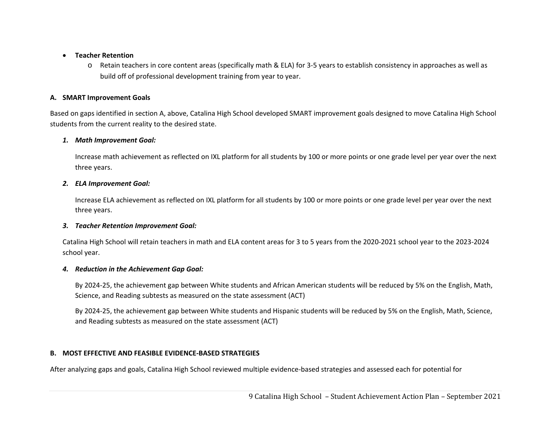#### $\bullet$ **Teacher Retention**

o Retain teachers in core content areas (specifically math & ELA) for 3‐5 years to establish consistency in approaches as well as build off of professional development training from year to year.

# **A. SMART Improvement Goals**

Based on gaps identified in section A, above, Catalina High School developed SMART improvement goals designed to move Catalina High School students from the current reality to the desired state.

#### *1. Math Improvement Goal:*

Increase math achievement as reflected on IXL platform for all students by 100 or more points or one grade level per year over the next three years.

### *2. ELA Improvement Goal:*

Increase ELA achievement as reflected on IXL platform for all students by 100 or more points or one grade level per year over the next three years.

# *3. Teacher Retention Improvement Goal:*

Catalina High School will retain teachers in math and ELA content areas for 3 to 5 years from the 2020‐2021 school year to the 2023‐2024 school year.

# *4. Reduction in the Achievement Gap Goal:*

By 2024‐25, the achievement gap between White students and African American students will be reduced by 5% on the English, Math, Science, and Reading subtests as measured on the state assessment (ACT)

By 2024‐25, the achievement gap between White students and Hispanic students will be reduced by 5% on the English, Math, Science, and Reading subtests as measured on the state assessment (ACT)

# **B. MOST EFFECTIVE AND FEASIBLE EVIDENCE‐BASED STRATEGIES**

After analyzing gaps and goals, Catalina High School reviewed multiple evidence‐based strategies and assessed each for potential for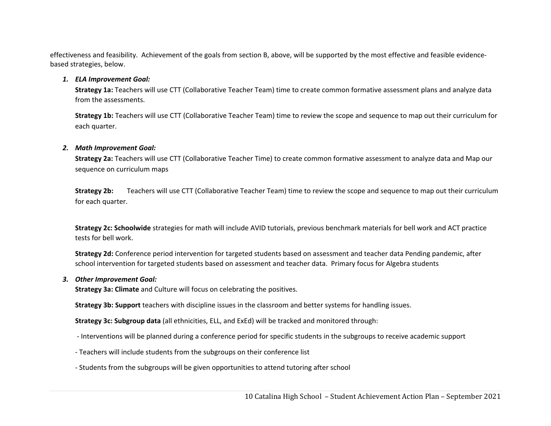effectiveness and feasibility. Achievement of the goals from section B, above, will be supported by the most effective and feasible evidence‐ based strategies, below.

#### *1. ELA Improvement Goal:*

**Strategy 1a:** Teachers will use CTT (Collaborative Teacher Team) time to create common formative assessment plans and analyze data from the assessments.

**Strategy 1b:** Teachers will use CTT (Collaborative Teacher Team) time to review the scope and sequence to map out their curriculum for each quarter.

#### *2. Math Improvement Goal:*

**Strategy 2a:** Teachers will use CTT (Collaborative Teacher Time) to create common formative assessment to analyze data and Map our sequence on curriculum maps

**Strategy 2b:** Teachers will use CTT (Collaborative Teacher Team) time to review the scope and sequence to map out their curriculum for each quarter.

**Strategy 2c: Schoolwide** strategies for math will include AVID tutorials, previous benchmark materials for bell work and ACT practice tests for bell work.

**Strategy 2d:** Conference period intervention for targeted students based on assessment and teacher data Pending pandemic, after school intervention for targeted students based on assessment and teacher data. Primary focus for Algebra students

#### *3. Other Improvement Goal:*

**Strategy 3a: Climate** and Culture will focus on celebrating the positives.

**Strategy 3b: Support** teachers with discipline issues in the classroom and better systems for handling issues.

**Strategy 3c: Subgroup data** (all ethnicities, ELL, and ExEd) will be tracked and monitored through:

- ‐ Interventions will be planned during a conference period for specific students in the subgroups to receive academic support
- ‐ Teachers will include students from the subgroups on their conference list
- ‐ Students from the subgroups will be given opportunities to attend tutoring after school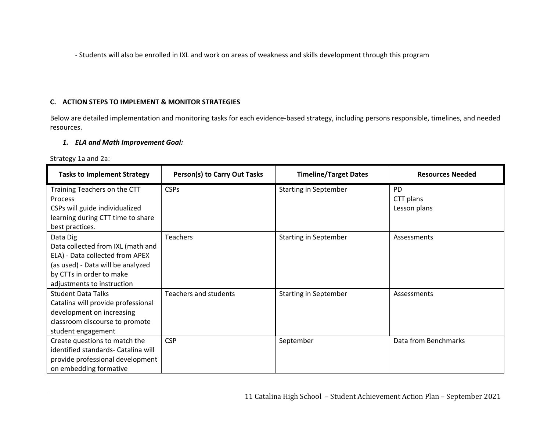‐ Students will also be enrolled in IXL and work on areas of weakness and skills development through this program

# **C. ACTION STEPS TO IMPLEMENT & MONITOR STRATEGIES**

Below are detailed implementation and monitoring tasks for each evidence‐based strategy, including persons responsible, timelines, and needed resources.

### *1. ELA and Math Improvement Goal:*

Strategy 1a and 2a:

| <b>Tasks to Implement Strategy</b>                                                                                                                                              | Person(s) to Carry Out Tasks | <b>Timeline/Target Dates</b> | <b>Resources Needed</b>                |
|---------------------------------------------------------------------------------------------------------------------------------------------------------------------------------|------------------------------|------------------------------|----------------------------------------|
| Training Teachers on the CTT<br>Process<br>CSPs will guide individualized<br>learning during CTT time to share<br>best practices.                                               | <b>CSPs</b>                  | <b>Starting in September</b> | <b>PD</b><br>CTT plans<br>Lesson plans |
| Data Dig<br>Data collected from IXL (math and<br>ELA) - Data collected from APEX<br>(as used) - Data will be analyzed<br>by CTTs in order to make<br>adjustments to instruction | <b>Teachers</b>              | <b>Starting in September</b> | Assessments                            |
| <b>Student Data Talks</b><br>Catalina will provide professional<br>development on increasing<br>classroom discourse to promote<br>student engagement                            | <b>Teachers and students</b> | <b>Starting in September</b> | Assessments                            |
| Create questions to match the<br>identified standards- Catalina will<br>provide professional development<br>on embedding formative                                              | <b>CSP</b>                   | September                    | Data from Benchmarks                   |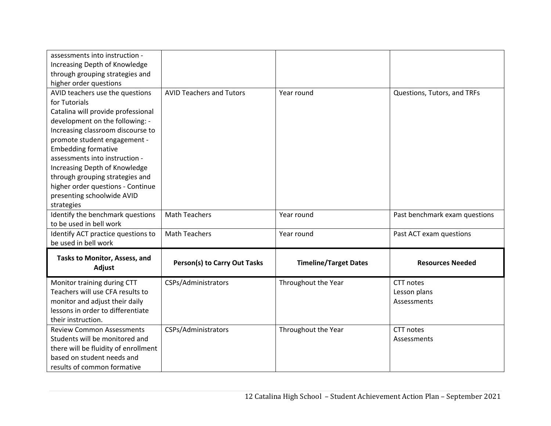| assessments into instruction -<br>Increasing Depth of Knowledge |                                     |                              |                               |
|-----------------------------------------------------------------|-------------------------------------|------------------------------|-------------------------------|
| through grouping strategies and                                 |                                     |                              |                               |
| higher order questions                                          |                                     |                              |                               |
| AVID teachers use the questions                                 | <b>AVID Teachers and Tutors</b>     | Year round                   | Questions, Tutors, and TRFs   |
| for Tutorials                                                   |                                     |                              |                               |
| Catalina will provide professional                              |                                     |                              |                               |
| development on the following: -                                 |                                     |                              |                               |
| Increasing classroom discourse to                               |                                     |                              |                               |
| promote student engagement -                                    |                                     |                              |                               |
| <b>Embedding formative</b>                                      |                                     |                              |                               |
| assessments into instruction -                                  |                                     |                              |                               |
| Increasing Depth of Knowledge                                   |                                     |                              |                               |
| through grouping strategies and                                 |                                     |                              |                               |
| higher order questions - Continue                               |                                     |                              |                               |
| presenting schoolwide AVID                                      |                                     |                              |                               |
| strategies                                                      |                                     |                              |                               |
| Identify the benchmark questions                                | <b>Math Teachers</b>                | Year round                   | Past benchmark exam questions |
| to be used in bell work                                         |                                     |                              |                               |
| Identify ACT practice questions to                              | <b>Math Teachers</b>                | Year round                   | Past ACT exam questions       |
| be used in bell work                                            |                                     |                              |                               |
| Tasks to Monitor, Assess, and<br>Adjust                         | <b>Person(s) to Carry Out Tasks</b> | <b>Timeline/Target Dates</b> | <b>Resources Needed</b>       |
| Monitor training during CTT                                     | CSPs/Administrators                 | Throughout the Year          | CTT notes                     |
| Teachers will use CFA results to                                |                                     |                              | Lesson plans                  |
| monitor and adjust their daily                                  |                                     |                              | Assessments                   |
| lessons in order to differentiate                               |                                     |                              |                               |
| their instruction.                                              |                                     |                              |                               |
| <b>Review Common Assessments</b>                                | CSPs/Administrators                 | Throughout the Year          | CTT notes                     |
| Students will be monitored and                                  |                                     |                              | Assessments                   |
| there will be fluidity of enrollment                            |                                     |                              |                               |
| based on student needs and                                      |                                     |                              |                               |
| results of common formative                                     |                                     |                              |                               |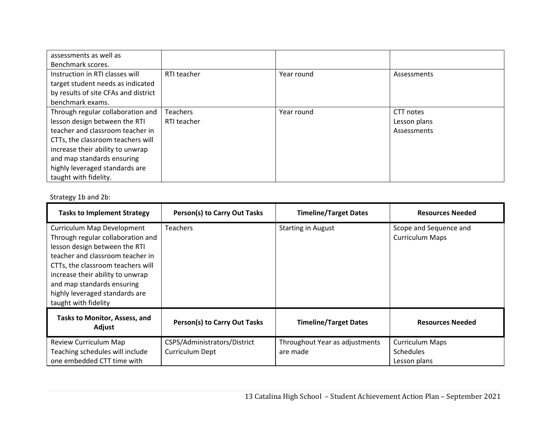| assessments as well as               |                 |            |              |
|--------------------------------------|-----------------|------------|--------------|
| Benchmark scores.                    |                 |            |              |
| Instruction in RTI classes will      | RTI teacher     | Year round | Assessments  |
| target student needs as indicated    |                 |            |              |
| by results of site CFAs and district |                 |            |              |
| benchmark exams.                     |                 |            |              |
| Through regular collaboration and    | <b>Teachers</b> | Year round | CTT notes    |
| lesson design between the RTI        | RTI teacher     |            | Lesson plans |
| teacher and classroom teacher in     |                 |            | Assessments  |
| CTTs, the classroom teachers will    |                 |            |              |
| increase their ability to unwrap     |                 |            |              |
| and map standards ensuring           |                 |            |              |
| highly leveraged standards are       |                 |            |              |
| taught with fidelity.                |                 |            |              |

# Strategy 1b and 2b:

| <b>Tasks to Implement Strategy</b>                                                                                                                                                                                                                                                                    | Person(s) to Carry Out Tasks                    | <b>Timeline/Target Dates</b>               | <b>Resources Needed</b>                                    |
|-------------------------------------------------------------------------------------------------------------------------------------------------------------------------------------------------------------------------------------------------------------------------------------------------------|-------------------------------------------------|--------------------------------------------|------------------------------------------------------------|
| Curriculum Map Development<br>Through regular collaboration and<br>lesson design between the RTI<br>teacher and classroom teacher in<br>CTTs, the classroom teachers will<br>increase their ability to unwrap<br>and map standards ensuring<br>highly leveraged standards are<br>taught with fidelity | Teachers                                        | <b>Starting in August</b>                  | Scope and Sequence and<br><b>Curriculum Maps</b>           |
| Tasks to Monitor, Assess, and<br>Adjust                                                                                                                                                                                                                                                               | Person(s) to Carry Out Tasks                    | <b>Timeline/Target Dates</b>               | <b>Resources Needed</b>                                    |
| Review Curriculum Map<br>Teaching schedules will include<br>one embedded CTT time with                                                                                                                                                                                                                | CSPS/Administrators/District<br>Curriculum Dept | Throughout Year as adjustments<br>are made | <b>Curriculum Maps</b><br><b>Schedules</b><br>Lesson plans |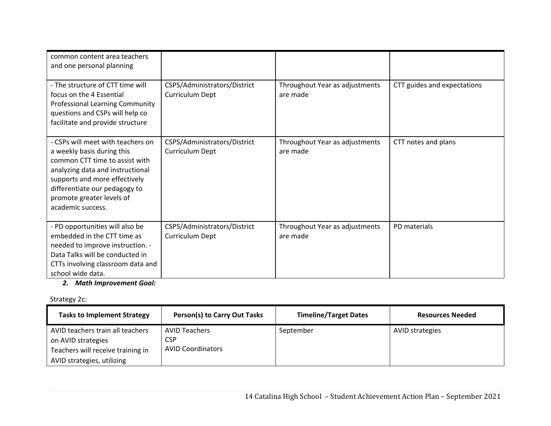| common content area teachers<br>and one personal planning                                                                                                                                                                                                 |                                                 |                                            |                             |
|-----------------------------------------------------------------------------------------------------------------------------------------------------------------------------------------------------------------------------------------------------------|-------------------------------------------------|--------------------------------------------|-----------------------------|
| - The structure of CTT time will<br>focus on the 4 Essential<br>Professional Learning Community<br>questions and CSPs will help co<br>facilitate and provide structure                                                                                    | CSPS/Administrators/District<br>Curriculum Dept | Throughout Year as adjustments<br>are made | CTT guides and expectations |
| - CSPs will meet with teachers on<br>a weekly basis during this<br>common CTT time to assist with<br>analyzing data and instructional<br>supports and more effectively<br>differentiate our pedagogy to<br>promote greater levels of<br>academic success. | CSPS/Administrators/District<br>Curriculum Dept | Throughout Year as adjustments<br>are made | CTT notes and plans         |
| - PD opportunities will also be<br>embedded in the CTT time as<br>needed to improve instruction. -<br>Data Talks will be conducted in<br>CTTs involving classroom data and<br>school wide data.                                                           | CSPS/Administrators/District<br>Curriculum Dept | Throughout Year as adjustments<br>are made | PD materials                |

# *2. Math Improvement Goal:*

# Strategy 2c:

| $-$                                                                                                                       |                                                                |                              |                         |  |  |
|---------------------------------------------------------------------------------------------------------------------------|----------------------------------------------------------------|------------------------------|-------------------------|--|--|
| <b>Tasks to Implement Strategy</b>                                                                                        | Person(s) to Carry Out Tasks                                   | <b>Timeline/Target Dates</b> | <b>Resources Needed</b> |  |  |
| AVID teachers train all teachers<br>on AVID strategies<br>Teachers will receive training in<br>AVID strategies, utilizing | <b>AVID Teachers</b><br><b>CSP</b><br><b>AVID Coordinators</b> | September                    | <b>AVID strategies</b>  |  |  |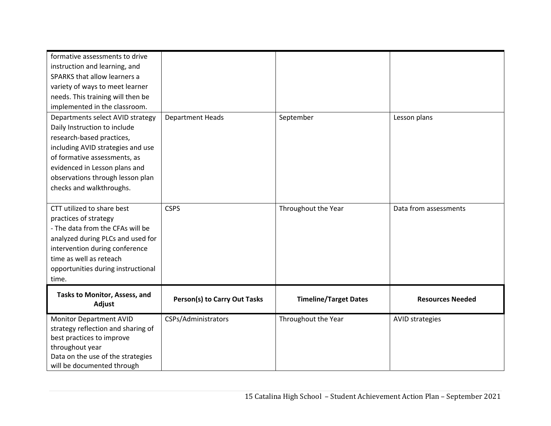| formative assessments to drive<br>instruction and learning, and<br>SPARKS that allow learners a<br>variety of ways to meet learner<br>needs. This training will then be<br>implemented in the classroom.                                                            |                                     |                              |                         |
|---------------------------------------------------------------------------------------------------------------------------------------------------------------------------------------------------------------------------------------------------------------------|-------------------------------------|------------------------------|-------------------------|
| Departments select AVID strategy<br>Daily Instruction to include<br>research-based practices,<br>including AVID strategies and use<br>of formative assessments, as<br>evidenced in Lesson plans and<br>observations through lesson plan<br>checks and walkthroughs. | <b>Department Heads</b>             | September                    | Lesson plans            |
| CTT utilized to share best<br>practices of strategy<br>- The data from the CFAs will be<br>analyzed during PLCs and used for<br>intervention during conference<br>time as well as reteach<br>opportunities during instructional<br>time.                            | <b>CSPS</b>                         | Throughout the Year          | Data from assessments   |
| Tasks to Monitor, Assess, and<br>Adjust                                                                                                                                                                                                                             | <b>Person(s) to Carry Out Tasks</b> | <b>Timeline/Target Dates</b> | <b>Resources Needed</b> |
| <b>Monitor Department AVID</b><br>strategy reflection and sharing of<br>best practices to improve<br>throughout year<br>Data on the use of the strategies<br>will be documented through                                                                             | CSPs/Administrators                 | Throughout the Year          | <b>AVID strategies</b>  |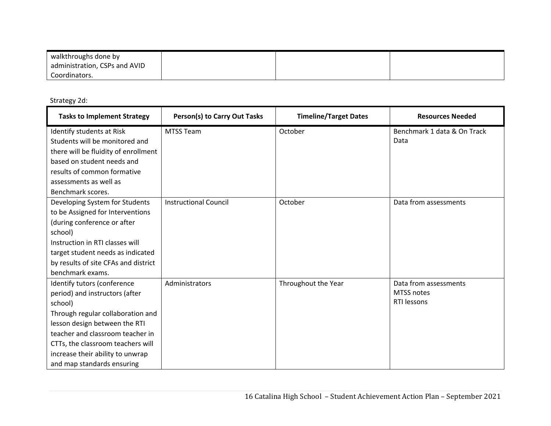| walkthroughs done by          |  |  |
|-------------------------------|--|--|
| administration, CSPs and AVID |  |  |
| Coordinators.                 |  |  |

Strategy 2d:

| <b>Tasks to Implement Strategy</b>   | <b>Person(s) to Carry Out Tasks</b> | <b>Timeline/Target Dates</b> | <b>Resources Needed</b>     |
|--------------------------------------|-------------------------------------|------------------------------|-----------------------------|
| Identify students at Risk            | <b>MTSS Team</b>                    | October                      | Benchmark 1 data & On Track |
| Students will be monitored and       |                                     |                              | Data                        |
| there will be fluidity of enrollment |                                     |                              |                             |
| based on student needs and           |                                     |                              |                             |
| results of common formative          |                                     |                              |                             |
| assessments as well as               |                                     |                              |                             |
| Benchmark scores.                    |                                     |                              |                             |
| Developing System for Students       | <b>Instructional Council</b>        | October                      | Data from assessments       |
| to be Assigned for Interventions     |                                     |                              |                             |
| (during conference or after          |                                     |                              |                             |
| school)                              |                                     |                              |                             |
| Instruction in RTI classes will      |                                     |                              |                             |
| target student needs as indicated    |                                     |                              |                             |
| by results of site CFAs and district |                                     |                              |                             |
| benchmark exams.                     |                                     |                              |                             |
| Identify tutors (conference          | Administrators                      | Throughout the Year          | Data from assessments       |
| period) and instructors (after       |                                     |                              | <b>MTSS notes</b>           |
| school)                              |                                     |                              | RTI lessons                 |
| Through regular collaboration and    |                                     |                              |                             |
| lesson design between the RTI        |                                     |                              |                             |
| teacher and classroom teacher in     |                                     |                              |                             |
| CTTs, the classroom teachers will    |                                     |                              |                             |
| increase their ability to unwrap     |                                     |                              |                             |
| and map standards ensuring           |                                     |                              |                             |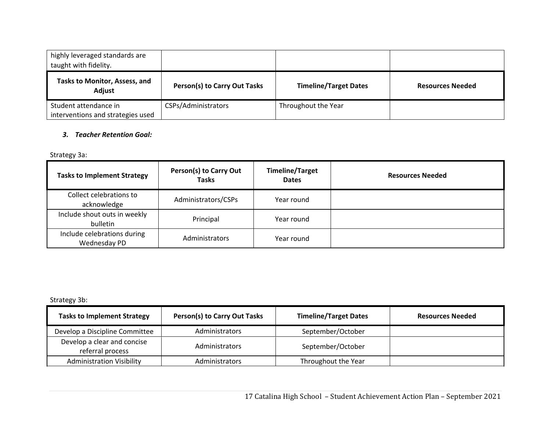| highly leveraged standards are<br>taught with fidelity.    |                              |                              |                         |
|------------------------------------------------------------|------------------------------|------------------------------|-------------------------|
| Tasks to Monitor, Assess, and<br>Adjust                    | Person(s) to Carry Out Tasks | <b>Timeline/Target Dates</b> | <b>Resources Needed</b> |
| Student attendance in<br>interventions and strategies used | CSPs/Administrators          | Throughout the Year          |                         |

# *3. Teacher Retention Goal:*

Strategy 3a:

| <b>Tasks to Implement Strategy</b>          | <b>Person(s) to Carry Out</b><br><b>Tasks</b> | <b>Timeline/Target</b><br><b>Dates</b> | <b>Resources Needed</b> |
|---------------------------------------------|-----------------------------------------------|----------------------------------------|-------------------------|
| Collect celebrations to<br>acknowledge      | Administrators/CSPs                           | Year round                             |                         |
| Include shout outs in weekly<br>bulletin    | Principal                                     | Year round                             |                         |
| Include celebrations during<br>Wednesday PD | Administrators                                | Year round                             |                         |

Strategy 3b:

| <b>Tasks to Implement Strategy</b>              | <b>Person(s) to Carry Out Tasks</b> | <b>Timeline/Target Dates</b> | <b>Resources Needed</b> |
|-------------------------------------------------|-------------------------------------|------------------------------|-------------------------|
| Develop a Discipline Committee                  | Administrators                      | September/October            |                         |
| Develop a clear and concise<br>referral process | Administrators                      | September/October            |                         |
| <b>Administration Visibility</b>                | Administrators                      | Throughout the Year          |                         |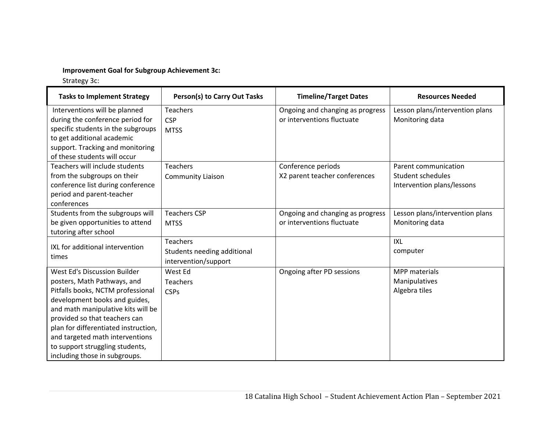# **Improvement Goal for Subgroup Achievement 3c:**

Strategy 3c:

| <b>Tasks to Implement Strategy</b>                                                                                                                                                                                                                                                                                                                      | <b>Person(s) to Carry Out Tasks</b>                                    | <b>Timeline/Target Dates</b>                                   | <b>Resources Needed</b>                                                 |
|---------------------------------------------------------------------------------------------------------------------------------------------------------------------------------------------------------------------------------------------------------------------------------------------------------------------------------------------------------|------------------------------------------------------------------------|----------------------------------------------------------------|-------------------------------------------------------------------------|
| Interventions will be planned<br>during the conference period for<br>specific students in the subgroups<br>to get additional academic<br>support. Tracking and monitoring<br>of these students will occur                                                                                                                                               | Teachers<br><b>CSP</b><br><b>MTSS</b>                                  | Ongoing and changing as progress<br>or interventions fluctuate | Lesson plans/intervention plans<br>Monitoring data                      |
| Teachers will include students<br>from the subgroups on their<br>conference list during conference<br>period and parent-teacher<br>conferences                                                                                                                                                                                                          | Teachers<br><b>Community Liaison</b>                                   | Conference periods<br>X2 parent teacher conferences            | Parent communication<br>Student schedules<br>Intervention plans/lessons |
| Students from the subgroups will<br>be given opportunities to attend<br>tutoring after school                                                                                                                                                                                                                                                           | <b>Teachers CSP</b><br><b>MTSS</b>                                     | Ongoing and changing as progress<br>or interventions fluctuate | Lesson plans/intervention plans<br>Monitoring data                      |
| IXL for additional intervention<br>times                                                                                                                                                                                                                                                                                                                | <b>Teachers</b><br>Students needing additional<br>intervention/support |                                                                | <b>IXL</b><br>computer                                                  |
| West Ed's Discussion Builder<br>posters, Math Pathways, and<br>Pitfalls books, NCTM professional<br>development books and guides,<br>and math manipulative kits will be<br>provided so that teachers can<br>plan for differentiated instruction,<br>and targeted math interventions<br>to support struggling students,<br>including those in subgroups. | West Ed<br>Teachers<br><b>CSPs</b>                                     | Ongoing after PD sessions                                      | <b>MPP</b> materials<br>Manipulatives<br>Algebra tiles                  |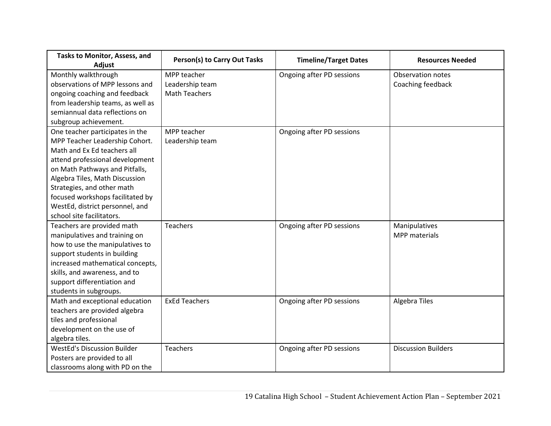| Tasks to Monitor, Assess, and<br>Adjust | <b>Person(s) to Carry Out Tasks</b> | <b>Timeline/Target Dates</b> | <b>Resources Needed</b>    |
|-----------------------------------------|-------------------------------------|------------------------------|----------------------------|
| Monthly walkthrough                     | MPP teacher                         | Ongoing after PD sessions    | <b>Observation notes</b>   |
| observations of MPP lessons and         | Leadership team                     |                              | Coaching feedback          |
| ongoing coaching and feedback           | <b>Math Teachers</b>                |                              |                            |
| from leadership teams, as well as       |                                     |                              |                            |
| semiannual data reflections on          |                                     |                              |                            |
| subgroup achievement.                   |                                     |                              |                            |
| One teacher participates in the         | MPP teacher                         | Ongoing after PD sessions    |                            |
| MPP Teacher Leadership Cohort.          | Leadership team                     |                              |                            |
| Math and Ex Ed teachers all             |                                     |                              |                            |
| attend professional development         |                                     |                              |                            |
| on Math Pathways and Pitfalls,          |                                     |                              |                            |
| Algebra Tiles, Math Discussion          |                                     |                              |                            |
| Strategies, and other math              |                                     |                              |                            |
| focused workshops facilitated by        |                                     |                              |                            |
| WestEd, district personnel, and         |                                     |                              |                            |
| school site facilitators.               |                                     |                              |                            |
| Teachers are provided math              | <b>Teachers</b>                     | Ongoing after PD sessions    | Manipulatives              |
| manipulatives and training on           |                                     |                              | MPP materials              |
| how to use the manipulatives to         |                                     |                              |                            |
| support students in building            |                                     |                              |                            |
| increased mathematical concepts,        |                                     |                              |                            |
| skills, and awareness, and to           |                                     |                              |                            |
| support differentiation and             |                                     |                              |                            |
| students in subgroups.                  |                                     |                              |                            |
| Math and exceptional education          | <b>ExEd Teachers</b>                | Ongoing after PD sessions    | <b>Algebra Tiles</b>       |
| teachers are provided algebra           |                                     |                              |                            |
| tiles and professional                  |                                     |                              |                            |
| development on the use of               |                                     |                              |                            |
| algebra tiles.                          |                                     |                              |                            |
| <b>WestEd's Discussion Builder</b>      | <b>Teachers</b>                     | Ongoing after PD sessions    | <b>Discussion Builders</b> |
| Posters are provided to all             |                                     |                              |                            |
| classrooms along with PD on the         |                                     |                              |                            |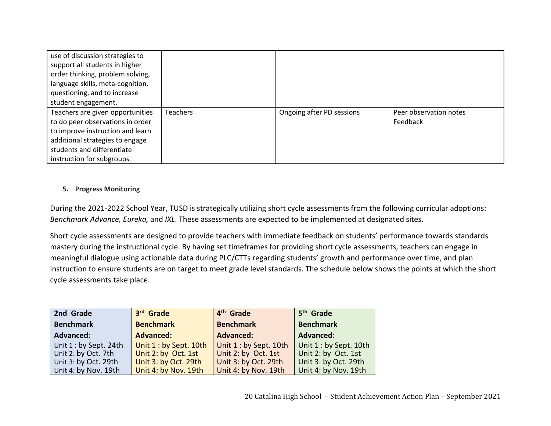| use of discussion strategies to<br>support all students in higher<br>order thinking, problem solving,<br>language skills, meta-cognition,<br>questioning, and to increase<br>student engagement.        |          |                           |                                    |
|---------------------------------------------------------------------------------------------------------------------------------------------------------------------------------------------------------|----------|---------------------------|------------------------------------|
| Teachers are given opportunities<br>to do peer observations in order<br>to improve instruction and learn<br>additional strategies to engage<br>students and differentiate<br>instruction for subgroups. | Teachers | Ongoing after PD sessions | Peer observation notes<br>Feedback |

# **5. Progress Monitoring**

During the 2021‐2022 School Year, TUSD is strategically utilizing short cycle assessments from the following curricular adoptions: *Benchmark Advance, Eureka,* and *IXL*. These assessments are expected to be implemented at designated sites.

Short cycle assessments are designed to provide teachers with immediate feedback on students' performance towards standards mastery during the instructional cycle. By having set timeframes for providing short cycle assessments, teachers can engage in meaningful dialogue using actionable data during PLC/CTTs regarding students' growth and performance over time, and plan instruction to ensure students are on target to meet grade level standards. The schedule below shows the points at which the short cycle assessments take place.

| 2nd Grade              | 3rd Grade              | 4 <sup>th</sup> Grade  | 5 <sup>th</sup> Grade  |
|------------------------|------------------------|------------------------|------------------------|
| <b>Benchmark</b>       | <b>Benchmark</b>       | <b>Benchmark</b>       | <b>Benchmark</b>       |
| <b>Advanced:</b>       | <b>Advanced:</b>       | <b>Advanced:</b>       | <b>Advanced:</b>       |
| Unit 1 : by Sept. 24th | Unit 1 : by Sept. 10th | Unit 1 : by Sept. 10th | Unit 1 : by Sept. 10th |
| Unit 2: by Oct. 7th    | Unit 2: by Oct. 1st    | Unit 2: by Oct. 1st    | Unit 2: by Oct. 1st    |
| Unit 3: by Oct. 29th   | Unit 3: by Oct. 29th   | Unit 3: by Oct. 29th   | Unit 3: by Oct. 29th   |
| Unit 4: by Nov. 19th   | Unit 4: by Nov. 19th   | Unit 4: by Nov. 19th   | Unit 4: by Nov. 19th   |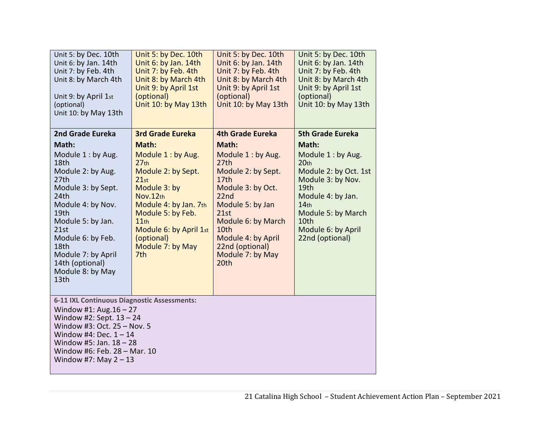| Unit 5: by Dec. 10th<br>Unit 6: by Jan. 14th<br>Unit 7: by Feb. 4th<br>Unit 8: by March 4th<br>Unit 9: by April 1st<br>(optional)<br>Unit 10: by May 13th                                                                                                                     | Unit 5: by Dec. 10th<br>Unit 6: by Jan. 14th<br>Unit 7: by Feb. 4th<br>Unit 8: by March 4th<br>Unit 9: by April 1st<br>(optional)<br>Unit 10: by May 13th                                                                                                    | Unit 5: by Dec. 10th<br>Unit 6: by Jan. 14th<br>Unit 7: by Feb. 4th<br>Unit 8: by March 4th<br>Unit 9: by April 1st<br>(optional)<br>Unit 10: by May 13th                                                                                                                       | Unit 5: by Dec. 10th<br>Unit 6: by Jan. 14th<br>Unit 7: by Feb. 4th<br>Unit 8: by March 4th<br>Unit 9: by April 1st<br>(optional)<br>Unit 10: by May 13th                                                                                        |  |  |
|-------------------------------------------------------------------------------------------------------------------------------------------------------------------------------------------------------------------------------------------------------------------------------|--------------------------------------------------------------------------------------------------------------------------------------------------------------------------------------------------------------------------------------------------------------|---------------------------------------------------------------------------------------------------------------------------------------------------------------------------------------------------------------------------------------------------------------------------------|--------------------------------------------------------------------------------------------------------------------------------------------------------------------------------------------------------------------------------------------------|--|--|
| 2nd Grade Eureka<br>Math:<br>Module 1: by Aug.<br>18th<br>Module 2: by Aug.<br>27th<br>Module 3: by Sept.<br>24th<br>Module 4: by Nov.<br>19th<br>Module 5: by Jan.<br>21st<br>Module 6: by Feb.<br>18th<br>Module 7: by April<br>14th (optional)<br>Module 8: by May<br>13th | <b>3rd Grade Eureka</b><br>Math:<br>Module 1: by Aug.<br>27 <sub>th</sub><br>Module 2: by Sept.<br>21st<br>Module 3: by<br>Nov.12th<br>Module 4: by Jan. 7th<br>Module 5: by Feb.<br>11th<br>Module 6: by April 1st<br>(optional)<br>Module 7: by May<br>7th | <b>4th Grade Eureka</b><br>Math:<br>Module 1: by Aug.<br>27th<br>Module 2: by Sept.<br>17 <sub>th</sub><br>Module 3: by Oct.<br>22 <sub>nd</sub><br>Module 5: by Jan<br>21st<br>Module 6: by March<br>10th<br>Module 4: by April<br>22nd (optional)<br>Module 7: by May<br>20th | <b>5th Grade Eureka</b><br>Math:<br>Module 1 : by Aug.<br>20 <sub>th</sub><br>Module 2: by Oct. 1st<br>Module 3: by Nov.<br>19th<br>Module 4: by Jan.<br>14 <sub>th</sub><br>Module 5: by March<br>10th<br>Module 6: by April<br>22nd (optional) |  |  |
| 6-11 IXL Continuous Diagnostic Assessments:<br>Window #1: Aug. $16 - 27$<br>Window #2: Sept. $13 - 24$<br>Window #3: Oct. 25 - Nov. 5<br>Window #4: Dec. $1 - 14$<br>Window #5: Jan. $18 - 28$<br>Window #6: Feb. 28 - Mar. 10<br>Window #7: May $2 - 13$                     |                                                                                                                                                                                                                                                              |                                                                                                                                                                                                                                                                                 |                                                                                                                                                                                                                                                  |  |  |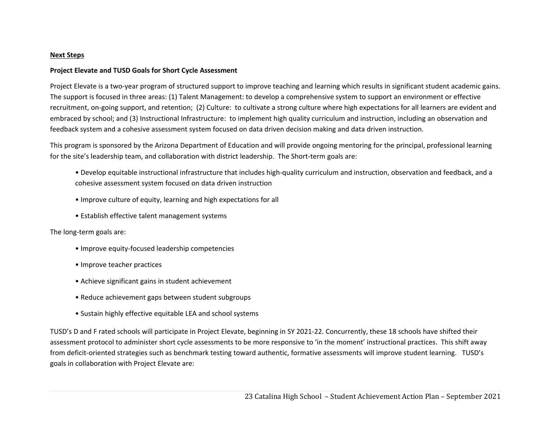#### **Next Steps**

### **Project Elevate and TUSD Goals for Short Cycle Assessment**

Project Elevate is a two-year program of structured support to improve teaching and learning which results in significant student academic gains. The support is focused in three areas: (1) Talent Management: to develop a comprehensive system to support an environment or effective recruitment, on‐going support, and retention; (2) Culture: to cultivate a strong culture where high expectations for all learners are evident and embraced by school; and (3) Instructional Infrastructure: to implement high quality curriculum and instruction, including an observation and feedback system and a cohesive assessment system focused on data driven decision making and data driven instruction.

This program is sponsored by the Arizona Department of Education and will provide ongoing mentoring for the principal, professional learning for the site's leadership team, and collaboration with district leadership. The Short-term goals are:

- Develop equitable instructional infrastructure that includes high‐quality curriculum and instruction, observation and feedback, and a cohesive assessment system focused on data driven instruction
- Improve culture of equity, learning and high expectations for all
- Establish effective talent management systems

The long‐term goals are:

- Improve equity‐focused leadership competencies
- Improve teacher practices
- Achieve significant gains in student achievement
- Reduce achievement gaps between student subgroups
- Sustain highly effective equitable LEA and school systems

TUSD's D and F rated schools will participate in Project Elevate, beginning in SY 2021‐22. Concurrently, these 18 schools have shifted their assessment protocol to administer short cycle assessments to be more responsive to 'in the moment' instructional practices. This shift away from deficit-oriented strategies such as benchmark testing toward authentic, formative assessments will improve student learning. TUSD's goals in collaboration with Project Elevate are: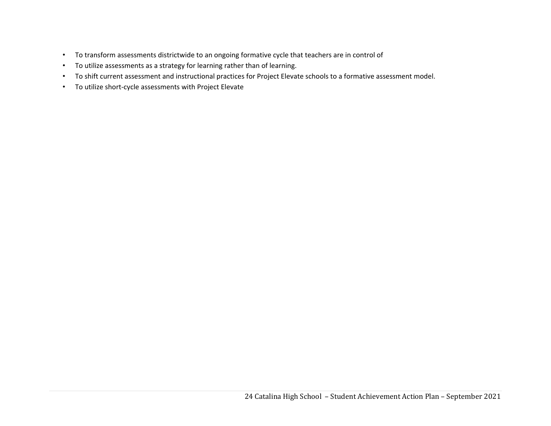- To transform assessments districtwide to an ongoing formative cycle that teachers are in control of
- To utilize assessments as a strategy for learning rather than of learning.
- To shift current assessment and instructional practices for Project Elevate schools to a formative assessment model.
- To utilize short‐cycle assessments with Project Elevate